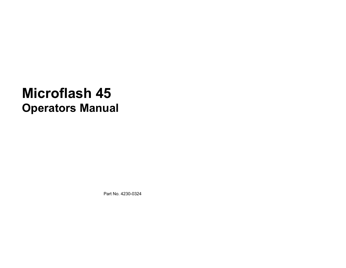# **Microflash 45 Operators Manual**

Part No. 4230-0324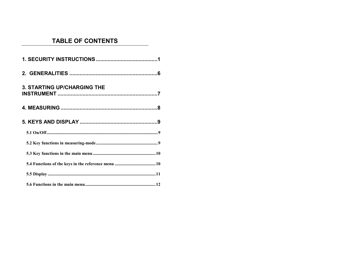# **TABLE OF CONTENTS**

| <b>3. STARTING UP/CHARGING THE</b> |
|------------------------------------|
|                                    |
|                                    |
|                                    |
|                                    |
|                                    |
|                                    |
|                                    |
|                                    |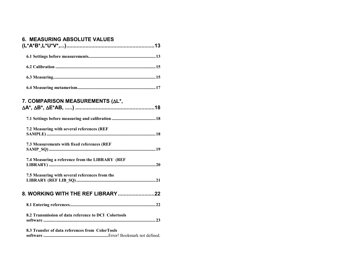# **6. MEASURING ABSOLUTE VALUES**

| 7. COMPARISON MEASUREMENTS (AL*,                     |
|------------------------------------------------------|
|                                                      |
| 7.2 Measuring with several references (REF           |
| 7.3 Measurements with fixed references (REF          |
| 7.4 Measuring a reference from the LIBRARY (REF      |
| 7.5 Measuring with several references from the       |
| 8. WORKING WITH THE REF LIBRARY22                    |
|                                                      |
| 8.2 Transmission of data reference to DCI Colortools |
| 8.3 Transfer of data references from ColorTools      |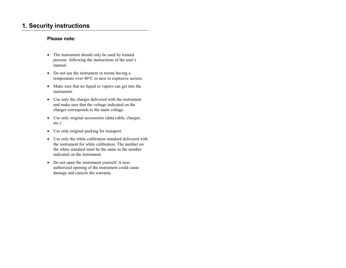# **1. Security instructions**

#### **Please note:**

- The instrument should only be used by trained persons following the instructions of the user's manual.
- Do not use the instrument in rooms having a temperature over 40°C or next to explosive sectors.
- Make sure that no liquid or vapors can get into the instrument.
- Use only the charger delivered with the instrument and make sure that the voltage indicated on the charger corresponds to the main voltage.
- Use only original accessories (data cable, charger, etc.)
- Use only original packing for transport.
- Use only the white calibration standard delivered with the instrument for white calibration. The number on the white standard must be the same as the number indicated on the instrument.
- Do not open the instrument yourself. A nonauthorized opening of the instrument could cause damage and cancels the warranty.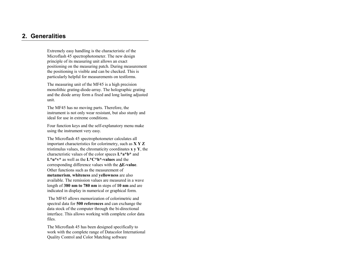# **2. Generalities**

Extremely easy handling is the characteristic of the Microflash 45 spectrophotometer. The new design principle of its measuring unit allows an exact positioning on the measuring patch. During measurement the positioning is visible and can be checked. This is particularly helpful for measurements on testforms.

The measuring unit of the MF45 is a high precision monolithic grating-diode-array. The holographic grating and the diode array form a fixed and long lasting adjusted unit.

The MF45 has no moving parts. Therefore, the instrument is not only wear resistant, but also sturdy and ideal for use in extreme conditions.

Four function keys and the self-explanatory menu make using the instrument very easy.

The Microflash 45 spectrophotometer calculates all important characteristics for colorimetry, such as **X Y Z** tristimulus values, the chromaticity coordinates **x y Y**, the characteristic values of the color spaces **L\*a\*b\*** and **L\*u\*v\*** as well as the **L\*C\*h\*-values** and the corresponding difference values with the ∆**E-value**. Other functions such as the measurement of **metamerism**, **whiteness** and **yellowness** are also available. The remission values are measured in a wave length of **380 nm to 780 nm** in steps of **10 nm** and are indicated in display in numerical or graphical form.

 The MF45 allows memorization of colorimetric and spectral data for **500 references** and can exchange the data stock of the computer through the bi-directional interface. This allows working with complete color data files.

The Microflash 45 has been designed specifically to work with the complete range of Datacolor International Quality Control and Color Matching software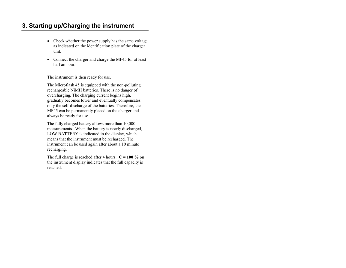# **3. Starting up/Charging the instrument**

- Check whether the power supply has the same voltage as indicated on the identification plate of the charger unit.
- Connect the charger and charge the MF45 for at least half an hour.

The instrument is then ready for use.

The Microflash 45 is equipped with the non-polluting rechargeable NiMH batteries. There is no danger of overcharging. The charging current begins high, gradually becomes lower and eventually compensates only the self-discharge of the batteries. Therefore, the MF45 can be permanently placed on the charger and always be ready for use.

The fully charged battery allows more than 10,000 measurements. When the battery is nearly discharged, LOW BATTERY is indicated in the display, which means that the instrument must be recharged. The instrument can be used again after about a 10 minute recharging.

The full charge is reached after 4 hours.  $C = 100 \%$  on the instrument display indicates that the full capacity is reached.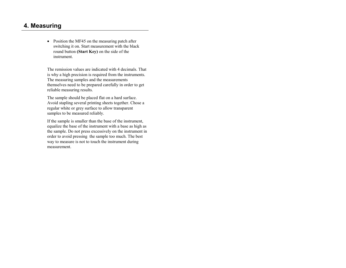# **4. Measuring**

• Position the MF45 on the measuring patch after switching it on. Start measurement with the black round button **(Start Key)** on the side of the instrument.

The remission values are indicated with 4 decimals. That is why a high precision is required from the instruments. The measuring samples and the measurements themselves need to be prepared carefully in order to get reliable measuring results.

The sample should be placed flat on a hard surface. Avoid stapling several printing sheets together. Chose a regular white or grey surface to allow transparent samples to be measured reliably.

If the sample is smaller than the base of the instrument, equalize the base of the instrument with a base as high as the sample. Do not press excessively on the instrument in order to avoid pressing the sample too much. The best way to measure is not to touch the instrument during measurement.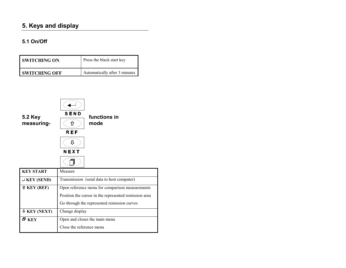# **5. Keys and display**

# **5.1 On/Off**

| I SWITCHING ON.      | Press the black start key     |
|----------------------|-------------------------------|
| <b>SWITCHING OFF</b> | Automatically after 3 minutes |



| <b>KEY START</b>             | Measure                                                                                                                                                 |
|------------------------------|---------------------------------------------------------------------------------------------------------------------------------------------------------|
| $J$ KEY (SEND)               | Transmission (send data to host computer)                                                                                                               |
| $\hat{\mathbf{L}}$ KEY (REF) | Open reference menu for comparison measurements<br>Position the cursor in the represented remission area<br>Go through the represented remission curves |
| $\Phi$ KEY (NEXT)            | Change display                                                                                                                                          |
| 日 KEY                        | Open and closes the main menu<br>Close the reference menu                                                                                               |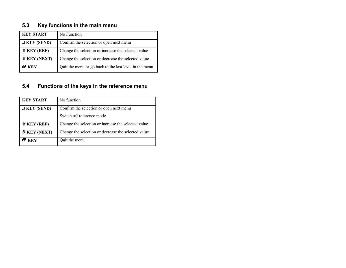# **5.3 Key functions in the main menu**

| <b>KEY START</b>             | No Function                                            |
|------------------------------|--------------------------------------------------------|
| $\cup$ KEY (SEND)            | Confirm the selection or open next menu                |
| $\hat{\mathbf{t}}$ KEY (REF) | Change the selection or increase the selected value    |
| $\Phi$ KEY (NEXT)            | Change the selection or decrease the selected value    |
| 리 KEY                        | Quit the menu or go back to the last level in the menu |

# **5.4 Functions of the keys in the reference menu**

| <b>KEY START</b>             | No function                                         |
|------------------------------|-----------------------------------------------------|
| $J$ KEY (SEND)               | Confirm the selection or open next menu             |
|                              | Switch off reference mode                           |
| $\hat{\mathbf{r}}$ KEY (REF) | Change the selection or increase the selected value |
| $\Phi$ KEY (NEXT)            | Change the selection or decrease the selected value |
| KEY                          | Quit the menu                                       |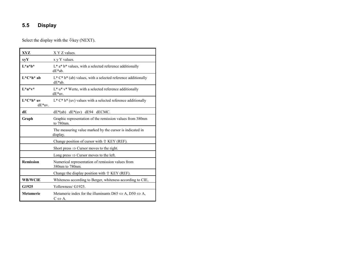## **5.5 Display**

Select the display with the  $\mathcal{P}$ key (NEXT).

| XYZ                        | X Y Z values.                                                                                                    |
|----------------------------|------------------------------------------------------------------------------------------------------------------|
| xyY                        | x y Y values.                                                                                                    |
| $L^*a^*b^*$                | $L^*$ a* $b^*$ values, with a selected reference additionally<br>$dE^*ab$ .                                      |
| $L^*C^*h^*$ ab             | $L^* C^* h^*$ (ab) values, with a selected reference additionally<br>$dE^*ab$ .                                  |
| $L^*u^*v^*$                | $L^*$ u* $v^*$ Werte, with a selected reference additionally<br>dE*uv.                                           |
| $L^*C^*h^*$ uv<br>$dE*uv.$ | $L^* C^* h^*$ (uv) values with a selected reference additionally                                                 |
| dE                         | $dE^*(ab)$ $dE^*(uv)$ $dE94$ $dECMC$ .                                                                           |
| Graph                      | Graphic representation of the remission values from 380nm<br>to 780nm.                                           |
|                            | The measuring value marked by the cursor is indicated in<br>display.                                             |
|                            | Change position of cursor with $\hat{U}$ KEY (REF).                                                              |
|                            | Short press $\Rightarrow$ Cursor moves to the right.                                                             |
|                            | Long press $\Rightarrow$ Cursor moves to the left.                                                               |
| <b>Remission</b>           | Numerical representation of remission values from<br>380nm to 780nm.                                             |
|                            | Change the display position with $\hat{U}$ KEY (REF).                                                            |
| <b>WB/WCIE</b>             | Whiteness according to Berger, whiteness according to CIE,                                                       |
| G1925                      | Yellowness/ G1925.                                                                                               |
| <b>Metamerie</b>           | Metamerie index for the illuminants D65 $\Leftrightarrow$ A, D50 $\Leftrightarrow$ A,<br>$C \Leftrightarrow A$ . |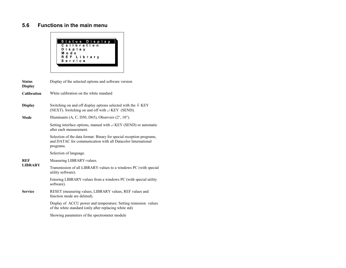## **5.6 Functions in the main menu**



| <b>Status</b><br><b>Display</b> | Display of the selected options and software version                                                                                              |
|---------------------------------|---------------------------------------------------------------------------------------------------------------------------------------------------|
| <b>Calibration</b>              | White calibration on the white standard                                                                                                           |
| <b>Display</b>                  | Switching on and off display options selected with the $\&$ KEY<br>(NEXT). Switching on and off with $\exists$ KEY (SEND).                        |
| Mode                            | Illuminants (A, C, D50, D65), Observers $(2^{\circ}, 10^{\circ})$ .                                                                               |
|                                 | Setting interface options, manual with $\cup$ KEY (SEND) or automatic<br>after each measurement.                                                  |
|                                 | Selection of the data format: Binary for special reception programs,<br>and DATAC for communication with all Datacolor International<br>programs. |
|                                 | Selection of language.                                                                                                                            |
| <b>REF</b>                      | Measuring LIBRARY-values.                                                                                                                         |
| <b>LIBRARY</b>                  | Transmission of all LIBRARY-values to a windows PC (with special<br>utility software).                                                            |
|                                 | Entering LIBRARY-values from a windows PC (with special utility<br>software).                                                                     |
| <b>Service</b>                  | RESET (measuring values, LIBRARY values, REF values and<br>function mode are deleted).                                                            |
|                                 | Display of ACCU power and temperature: Setting remission values<br>of the white standard (only after replacing white std)                         |
|                                 | Showing parameters of the spectrometer module                                                                                                     |
|                                 |                                                                                                                                                   |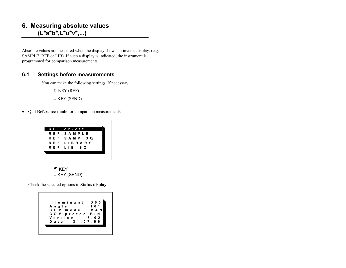# **6. Measuring absolute values (L\*a\*b\*,L\*u\*v\*,...)**

Absolute values are measured when the display shows no inverse display. (e.g. SAMPLE, REF or LIB). If such a display is indicated, the instrument is programmed for comparison measurements.

#### **6.1 Settings before measurements**

You can make the following settings, If necessary:

KEY (REF)

 $\cup$  KEY (SEND)

• Quit **Reference-mode** for comparison measurements



 $E$  KEY ↵ KEY (SEND)

Check the selected options in **Status display**.

| llluminant            | D 6 5<br>$\bullet$<br>$10$ |
|-----------------------|----------------------------|
| Angle<br>COM mode MAN |                            |
| COM protoc BIN        |                            |
| Version               | $3 \t02$                   |
| 310796<br>Date        |                            |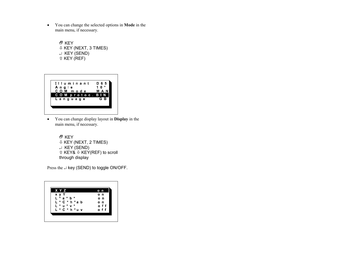$\bullet$  You can change the selected options in **Mode** in the main menu, if necessary.

> <sup>日</sup> KEY - KEY (NEXT, 3 TIMES) ↵ KEY (SEND)  $\hat{E}$  KEY (REF)



• You can change display layout in **Display** in the main menu, if necessary.

> 日 KEY - KEY (NEXT, 2 TIMES) ↵ KEY (SEND) û KEY& ↓ KEY(REF) to scroll through display

Press the  $\perp$  key (SEND) to toggle ON/OFF.

| X Y Z                         | o n |
|-------------------------------|-----|
| x y Y                         | o n |
| $*$ a $*$<br>Г<br>$\ast$<br>b | o n |
| L * C * h * a b               | o n |
| $L * u * v *$                 | off |
| L * C * h * u v               | off |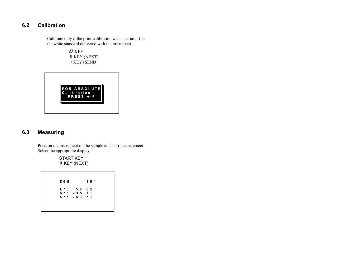# **6.2 Calibration**

Calibrate only if the prior calibration was uncertain. Use the white standard delivered with the instrument.

 $E$  KEY - KEY (NEXT) ↵ KEY (SEND)



# **6.3 Measuring**

 Position the instrument on the sample and start measurement. Select the appropriate display.

> START KEY - KEY (NEXT)

|           | D <sub>65</sub> |         |       |  | 10° |  |
|-----------|-----------------|---------|-------|--|-----|--|
| L * :     |                 |         | 56 82 |  |     |  |
| $b$ $*$ : |                 | 35.16   |       |  |     |  |
| $a^*$ :   |                 | 4 3 5 2 |       |  |     |  |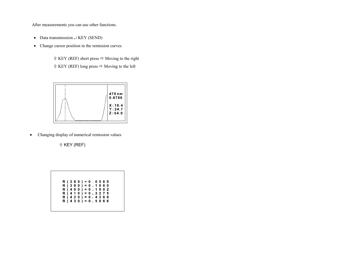After measurements you can use other functions.

- Data transmisssion  $\perp$  KEY (SEND)
- Change cursor position in the remission curves

 $\hat{U}$  KEY (REF) short press  $\Rightarrow$  Moving to the right  $\hat{U}$  KEY (REF) long press  $\Leftrightarrow$  Moving to the left



•Changing display of numerical remission values

 $\hat{U}$  KEY (REF)

| $R(380) = 0.0569$ |  |  |  |  |  |  |  |
|-------------------|--|--|--|--|--|--|--|
| $R(390) = 0.1060$ |  |  |  |  |  |  |  |
| $R(400) = 0.1902$ |  |  |  |  |  |  |  |
| $R(410) = 0.3275$ |  |  |  |  |  |  |  |
| $R(420) = 0.4288$ |  |  |  |  |  |  |  |
| $R(430) = 0.5066$ |  |  |  |  |  |  |  |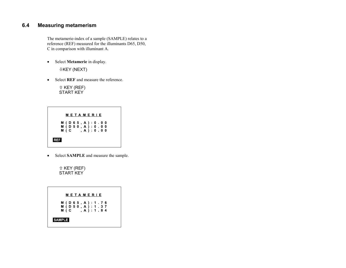# **6.4 Measuring metamerism**

The metamerie-index of a sample (SAMPLE) relates to a reference (REF) measured for the illuminants D65, D50, C in comparison with illuminant A.

• Select **Metamerie** in display. -KEY (NEXT)

• Select **REF** and measure the reference.

 KEY (REF) START KEY

|     |  |  | METAMERIE                                        |  |  |  |
|-----|--|--|--------------------------------------------------|--|--|--|
|     |  |  | M ( D 6 5 , A ) : 0 . 0 0<br>M (D 5 0, A): 0 0 0 |  |  |  |
|     |  |  | M(C, A): 0.00                                    |  |  |  |
| REF |  |  |                                                  |  |  |  |

• Select **SAMPLE** and measure the sample.

û KEY (REF)<br>START KEY

| M ( D 6 5 , A ) : 1 . 7 6                   |
|---------------------------------------------|
| $M$ (D 5 0 , A ) : 1 . 3 7<br>M(C, A): 1.84 |
|                                             |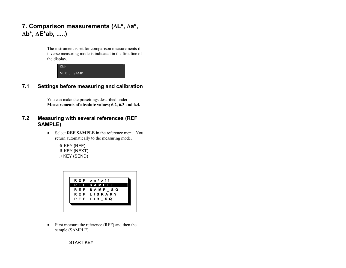# **7. Comparison measurements (**∆**L\*,** ∆**a\*,** ∆**b\*,** ∆**E\*ab, .....)**

The instrument is set for comparison measurements if inverse measuring mode is indicated in the first line of the display.



# **7.1 Settings before measuring and calibration**

You can make the presettings described under**Measurements of absolute values; 6.2, 6.3 and 6.4.**

## **7.2 Measuring with several references (REF SAMPLE)**

- Select **REF SAMPLE** in the reference menu. You return automatically to the measuring mode.
	- $\hat{U}$  KEY (REF) - KEY (NEXT) ↵ KEY (SEND)



• First measure the reference (REF) and then the sample (SAMPLE).

START KEY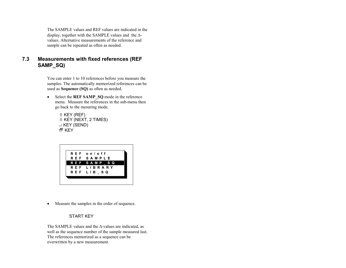The SAMPLE values and REF values are indicated in the display, together with the SAMPLE values and the ∆- values. Alternative measurements of the reference and sample can be repeated as often as needed.

## **7.3 Measurements with fixed references (REF SAMP\_SQ)**

You can enter 1 to 10 references before you measure the samples. The automatically memorized references can be used as **Sequence (SQ)** as often as needed.

• Select the **REF SAMP\_SQ** mode in the reference menu. Measure the references in the sub-menu then go back to the mesuring mode.

> $\hat{U}$  KEY (REF) - KEY (NEXT, 2 TIMES) ↵ KEY (SEND) <sup>日</sup> KEY



 $\bullet$ Measure the samples in the order of sequence.

START KEY

The SAMPLE values and the ∆-values are indicated, as well as the sequence number of the sample measured last. The references memorized as a sequence can be overwritten by a new measurement.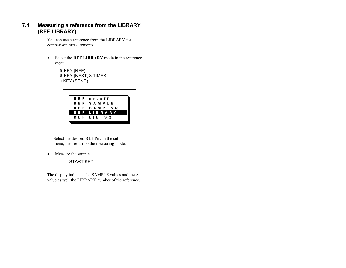## **7.4 Measuring a reference from the LIBRARY (REF LIBRARY)**

You can use a reference from the LIBRARY for comparison measurements.

• Select the **REF LIBRARY** mode in the reference menu.

> $\hat{U}$  KEY (REF) - KEY (NEXT, 3 TIMES) ↵ KEY (SEND)



Select the desired **REF Nr.** in the submenu, then return to the measuring mode.

•Measure the sample.

START KEY

The display indicates the SAMPLE values and the ∆-value as well the LIBRARY number of the reference.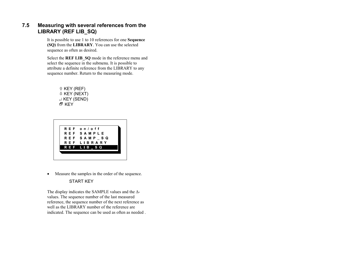## **7.5 Measuring with several references from the LIBRARY (REF LIB\_SQ)**

It is possible to use 1 to 10 references for one **Sequence (SQ)** from the **LIBRARY**. You can use the selected sequence as often as desired.

Select the **REF LIB\_SQ** mode in the reference menu and select the sequence in the submenu. It is possible to attribute a definite reference from the LIBRARY to any sequence number. Return to the measuring mode.





 $\bullet$ Measure the samples in the order of the sequence.

#### START KEY

The display indicates the SAMPLE values and the ∆ values. The sequence number of the last measured reference, the sequence number of the next reference as well as the LIBRARY number of the reference are indicated. The sequence can be used as often as needed .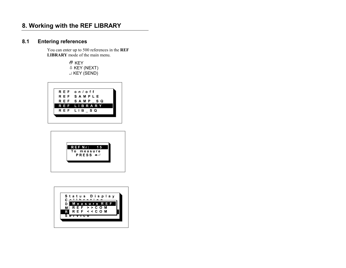# **8. Working with the REF LIBRARY**

# **8.1 Entering references**

You can enter up to 500 references in the **REF LIBRARY** mode of the main menu.

> <sup>日</sup> KEY - KEY (NEXT) ↵ KEY (SEND)





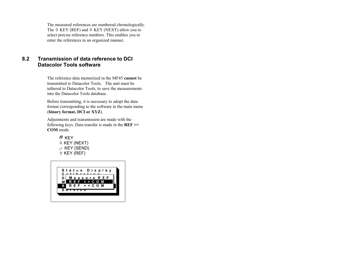The measured references are numbered chronologically. The  $\hat{U}$  KEY (REF) and  $\hat{U}$  KEY (NEXT) allow you to select precise reference numbers. This enables you to enter the references in an organized manner.

### **8.2 Transmission of data reference to DCI Datacolor Tools software**

The reference data memorized in the MF45 **cannot** be transmitted to Datacolor Tools. The unit must be tethered to Datacolor Tools, to save the measurements into the Datacolor Tools database.

Before transmitting, it is necessary to adopt the data format corresponding to the software in the main menu (**binary format, DCI or XYZ**).

Adjustments and transmission are made with the following keys. Data transfer is made in the **REF >> COM** mode.

> <sup>日</sup> KEY - KEY (NEXT) ↵ KEY (SEND)  $\hat{U}$  KEY (REF)

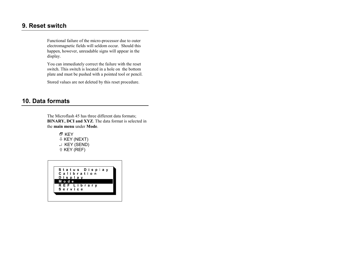# **9. Reset switch**

Functional failure of the micro-processor due to outer electromagnetic fields will seldom occur. Should this happen, however, unreadable signs will appear in the display.

You can immediately correct the failure with the reset switch. This switch is located in a hole on the bottom plate and must be pushed with a pointed tool or pencil.

Stored values are not deleted by this reset procedure.

# **10. Data formats**

The Microflash 45 has three different data formats; **BINARY, DCI and XYZ**. The data format is selected in the **main menu** under **Mode**.



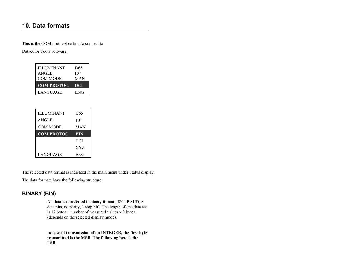# **10. Data formats**

This is the COM protocol setting to connect to

Datacolor Tools software.

| <b>ILLUMINANT</b><br><b>ANGLE</b><br><b>COM MODE</b> | D <sub>65</sub><br>$10^{\circ}$<br>MAN |
|------------------------------------------------------|----------------------------------------|
|                                                      |                                        |
| <b>COM PROTOC.</b>                                   | DCI                                    |
| LANGUAGE                                             | <b>ENG</b>                             |

| <b>ILLUMINANT</b> | D <sub>65</sub> |
|-------------------|-----------------|
| ANGLE             | $10^{\circ}$    |
| COM MODE          | MAN             |
| <b>COM PROTOC</b> | <b>BIN</b>      |
|                   | DCI             |
|                   | XYZ             |
| LANGUAGE          | <b>ENG</b>      |

The selected data format is indicated in the main menu under Status display.

The data formats have the following structure.

# **BINARY (BIN)**

All data is transferred in binary format (4800 BAUD, 8 data bits, no parity, 1 stop bit). The length of one data set is 12 bytes + number of measured values x 2 bytes (depends on the selected display mode).

**In case of transmission of an INTEGER, the first byte transmitted is the MSB. The following byte is the LSB.**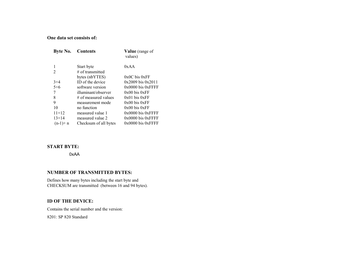#### **One data set consists of:**

| Byte No.       | <b>Contents</b>        | <b>Value</b> (range of |  |  |
|----------------|------------------------|------------------------|--|--|
|                |                        | values)                |  |  |
|                | Start byte             | 0xAA                   |  |  |
| $\overline{c}$ | $\#$ of transmitted    |                        |  |  |
|                | bytes (nbYTES)         | $0x0C$ bis $0xFF$      |  |  |
| $3+4$          | ID of the device       | $0x2009$ bis $0x2011$  |  |  |
| $5+6$          | software version       | $0x0000$ bis $0x$ FFFF |  |  |
| 7              | illuminant/observer    | $0x00$ bis $0xFF$      |  |  |
| 8              | $#$ of measured values | $0x01$ bis $0xFF$      |  |  |
| 9              | measurement mode       | $0x00$ bis $0xFF$      |  |  |
| 10             | no function            | $0x00$ bis $0xFF$      |  |  |
| $11+12$        | measured value 1       | $0x0000$ bis $0xFFFF$  |  |  |
| $13+14$        | measured value 2       | $0x0000$ bis $0xFFFF$  |  |  |
| $(n-1)+n$      | Checksum of all bytes  | $0x0000$ bis $0xFFFF$  |  |  |

#### **START BYTE:**

0xAA

### **NUMBER OF TRANSMITTED BYTES:**

Defines how many bytes including the start byte and CHECKSUM are transmitted (between 16 and 94 bytes).

#### **ID OF THE DEVICE:**

Contains the serial number and the version: 8201: SP 820 Standard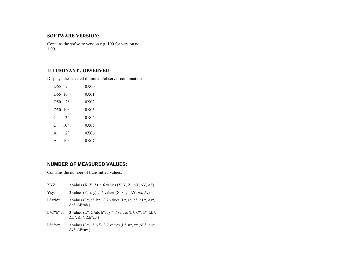#### **SOFTWARE VERSION:**

Contains the software version e.g. 100 for version no. 1.00.

#### **ILLUMINANT / OBSERVER:**

Displays the selected illuminant/observer combination

|   | D65 $2^{\circ}$ :  | 0X00 |
|---|--------------------|------|
|   | D65 $10^{\circ}$ : | 0X01 |
|   | D50 $2^{\circ}$ :  | 0X02 |
|   | D50 $10^{\circ}$ : | 0X03 |
| C | $2^{\circ}$ :      | 0X04 |
| C | $10^{\circ}$ :     | 0X05 |
| A | $2^{\circ}$ :      | 0X06 |
|   | $10^{\circ}$ :     | 0X07 |

#### **NUMBER OF MEASURED VALUES:**

Contains the number of transmitted values:

- XYZ: 3 values  $(X, Y, Z)$  / 6 values  $(X, Y, Z \Delta X, \Delta Y, \Delta Z)$
- Yxy: 3 values  $(Y, x, y)$  / 6 values  $(X, x, y \Delta Y, \Delta x, \Delta y)$
- L\*a\*b\*: 3 values (L\*, a\*, b\*) / 7 values (L\*, a\*, b\*, $\Delta L^*$ ,  $\Delta a^*$ , ∆b\*, ∆E\*ab )
- L\*C\*h\* ab: 3 values (L\*, C\*ab, h\*ab) / 7 values (L\*, C\*, h\*, $\Delta L^*$ , ∆C\*, ∆h\*, ∆E\*ab )
- L\*u\*v\*: 3 values (L\*, u\*, v\*) / 7 values (L\*, u\*, v\*,  $\Delta L^*$ ,  $\Delta u^*$ ,  $\Delta v^*$ ,  $\Delta E^*$ uv )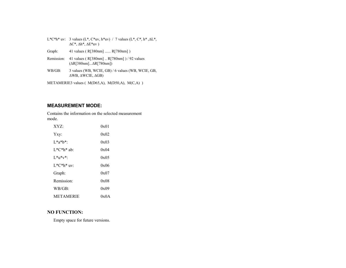|                                                | L*C*h* uv: 3 values (L*, C*uv, h*uv) / 7 values (L*, C*, h*, $\Delta L^*$ ,<br>$\Delta C^*$ , $\Delta h^*$ , $\Delta E^*$ uv) |  |  |  |  |
|------------------------------------------------|-------------------------------------------------------------------------------------------------------------------------------|--|--|--|--|
| Graph:                                         | 41 values (R[380nm]  R[780nm])                                                                                                |  |  |  |  |
| Remission:                                     | 41 values ( $R[380nm]$ $R[780nm]$ ) / 92 values<br>$(\Delta R[380nm] \Delta R[780nm])$                                        |  |  |  |  |
| $WB/GB$ :                                      | 3 values (WB, WCIE, GB) / 6 values (WB, WCIE, GB,<br>$\triangle$ WB, $\triangle$ WCIE, $\triangle$ GB)                        |  |  |  |  |
| METAMERIE3 values (M(D65,A), M(D50,A), M(C,A)) |                                                                                                                               |  |  |  |  |

## **MEASUREMENT MODE:**

Contains the information on the selected measurement mode.

| XYZ:             | 0x01 |
|------------------|------|
| Yxy:             | 0x02 |
| $L^*a^*b^*$      | 0x03 |
| $L^*C^*h^*$ ab:  | 0x04 |
| $L^*u^*v^*$ :    | 0x05 |
| $L^*C^*h^*$ uv:  | 0x06 |
| Graph:           | 0x07 |
| Remission:       | 0x08 |
| $WB/GB$ :        | 0x09 |
| <b>METAMERIE</b> | 0x0A |

## **NO FUNCTION:**

Empty space for future versions.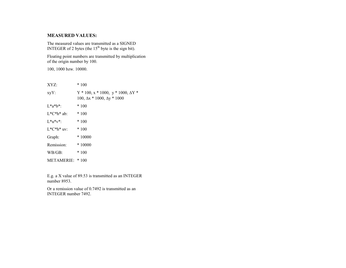#### **MEASURED VALUES:**

The measured values are transmitted as a SIGNED<br>INTEGER of 2 bytes (the 15<sup>th</sup> byte is the sign bit).

Floating point numbers are transmitted by multiplication of the origin number by 100.

100, 1000 bzw. 10000.

| XYZ:            | $*100$                                                                                           |
|-----------------|--------------------------------------------------------------------------------------------------|
| $xyY$ :         | $Y * 100$ , $x * 1000$ , $y * 1000$ , $\Delta Y *$<br>100, $\Delta x * 1000$ , $\Delta y * 1000$ |
| $L^*a^*b^*$ :   | $*100$                                                                                           |
| $L^*C^*h^*$ ab: | $*100$                                                                                           |
| $L^*u^*v^*$ :   | $*100$                                                                                           |
| $L^*C^*h^*$ uv: | $*100$                                                                                           |
| Graph:          | $*10000$                                                                                         |
| Remission:      | $*10000$                                                                                         |
| $WB/GB$ :       | $*100$                                                                                           |
| METAMERIE: *100 |                                                                                                  |

E.g. a X value of 89.53 is transmitted as an INTEGER number 8953.

Or a remission value of 0.7492 is transmitted as anINTEGER number 7492.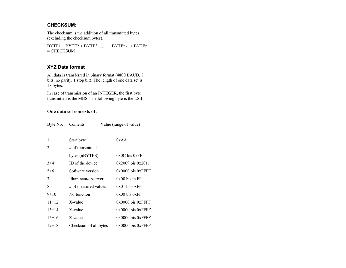# **CHECKSUM:**

The checksum is the addition of all transmitted bytes (excluding the checksum bytes).

BYTE1 + BYTE2 + BYTE3 ..... ......BYTEn-1 + BYTEn  $=$  CHECKSUM

#### **XYZ Data format**

All data is transferred in binary format (4800 BAUD, 8 bits, no parity, 1 stop bit). The length of one data set is 18 bytes.

In case of transmission of an INTEGER, the first byte transmitted is the MBS. The following byte is the LSB.

#### **One data set consists of:**

|  | Byte No: | Contents | Value (range of value) |
|--|----------|----------|------------------------|
|--|----------|----------|------------------------|

|         | Start byte            | 0xAA                   |
|---------|-----------------------|------------------------|
| 2       | $\#$ of transmitted   |                        |
|         | bytes (nBYTES)        | $0x0C$ bis $0xFF$      |
| $3+4$   | ID of the device      | $0x2009$ bis $0x2011$  |
| $5+6$   | Software version      | $0x0000$ bis $0xF$ FFF |
| 7       | Illuminant/observer   | $0x00$ bis $0xFF$      |
| 8       | # of measured values  | $0x01$ bis $0xFF$      |
| $9+10$  | No function           | $0x00$ bis $0xFF$      |
| $11+12$ | X-value               | $0x0000$ bis $0x$ FFFF |
| $13+14$ | Y-value               | $0x0000$ bis $0x$ FFFF |
| $15+16$ | Z-value               | $0x0000$ bis $0x$ FFFF |
| $17+18$ | Checksum of all bytes | $0x0000$ bis $0xF$ FFF |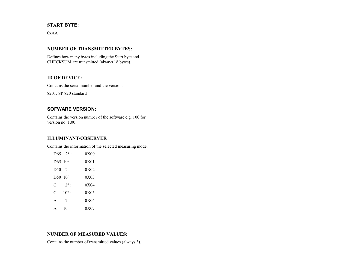#### **START BYTE:**

 $0xAA$ 

#### **NUMBER OF TRANSMITTED BYTES:**

Defines how many bytes including the Start byte andCHECKSUM are transmitted (always 18 bytes).

#### **ID OF DEVICE:**

Contains the serial number and the version:

8201: SP 820 standard

#### **SOFWARE VERSION:**

Contains the version number of the software e.g. 100 for version no. 1.00.

#### **ILLUMINANT/OBSERVER**

Contains the information of the selected measuring mode.

| $D65 \quad 2^{\circ}$ : |                | 0X00 |
|-------------------------|----------------|------|
| D65 $10^{\circ}$ :      |                | 0X01 |
| D50 $2^{\circ}$ :       |                | 0X02 |
| D50 $10^{\circ}$ :      |                | 0X03 |
| C                       | $2^{\circ}$ :  | 0X04 |
| C                       | $10^{\circ}$ : | 0X05 |
| A                       | $2^{\circ}$ :  | 0X06 |
| А                       | $10^{\circ}$   | 0X07 |

#### **NUMBER OF MEASURED VALUES:**

Contains the number of transmitted values (always 3).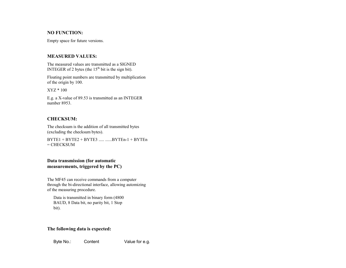#### **NO FUNCTION:**

Empty space for future versions.

#### **MEASURED VALUES:**

The measured values are transmitted as a SIGNED INTEGER of 2 bytes (the  $15<sup>th</sup>$  bit is the sign bit).

Floating point numbers are transmitted by multiplication of the origin by 100.

XYZ \* 100

E.g. a X-value of 89.53 is transmitted as an INTEGER number 8953.

#### **CHECKSUM:**

The checksum is the addition of all transmitted bytes (excluding the checksum bytes).

 $BYTE1 + BYTE2 + BYTE3$  ..... ...... $BYTEn-1 + BYTEn$ = CHECKSUM

#### **Data transmission (for automatic measurements, triggered by the PC)**

The MF45 can receive commands from a computer through the bi-directional interface, allowing automizing of the measuring procedure.

Data is transmitted in binary form (4800 BAUD, 8 Data bit, no parity bit, 1 Stop bit).

#### **The following data is expected:**

Byte No.: Content Value for e.g.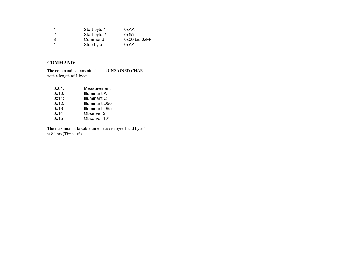| 1   | Start byte 1 | 0xAA          |
|-----|--------------|---------------|
| - 2 | Start byte 2 | 0x55          |
| -3  | Command      | 0x00 bis 0xFF |
|     | Stop byte    | 0xAA          |

## **COMMAND:**

The command is transmitted as an UNSIGNED CHAR with a length of 1 byte:

| 0x01:    | Measurement    |
|----------|----------------|
| $0x10$ : | Illuminant A   |
| 0x11:    | Illuminant C   |
| 0x12:    | Illuminant D50 |
| $0x13$ : | Illuminant D65 |
| 0x14     | Observer 2°    |
| 0x15     | Observer 10°   |

The maximum allowable time between byte 1 and byte 4 is 80 ms (Timeout!)